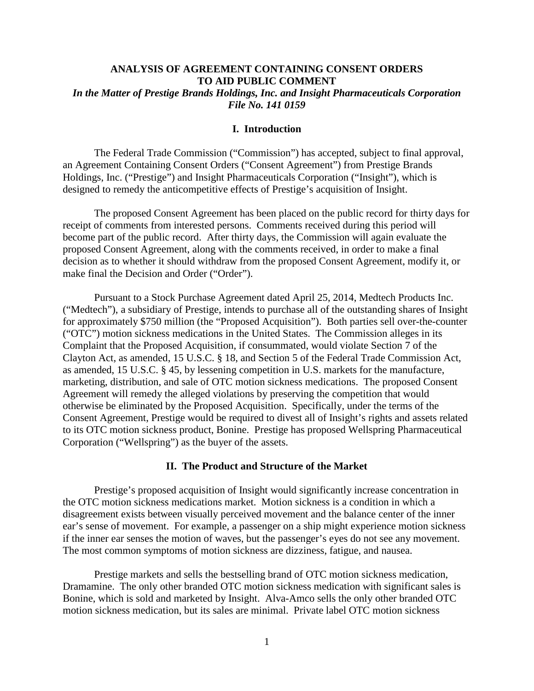# **ANALYSIS OF AGREEMENT CONTAINING CONSENT ORDERS TO AID PUBLIC COMMENT** *In the Matter of Prestige Brands Holdings, Inc. and Insight Pharmaceuticals Corporation File No. 141 0159*

# **I. Introduction**

The Federal Trade Commission ("Commission") has accepted, subject to final approval, an Agreement Containing Consent Orders ("Consent Agreement") from Prestige Brands Holdings, Inc. ("Prestige") and Insight Pharmaceuticals Corporation ("Insight"), which is designed to remedy the anticompetitive effects of Prestige's acquisition of Insight.

The proposed Consent Agreement has been placed on the public record for thirty days for receipt of comments from interested persons. Comments received during this period will become part of the public record. After thirty days, the Commission will again evaluate the proposed Consent Agreement, along with the comments received, in order to make a final decision as to whether it should withdraw from the proposed Consent Agreement, modify it, or make final the Decision and Order ("Order").

Pursuant to a Stock Purchase Agreement dated April 25, 2014, Medtech Products Inc. ("Medtech"), a subsidiary of Prestige, intends to purchase all of the outstanding shares of Insight for approximately \$750 million (the "Proposed Acquisition"). Both parties sell over-the-counter ("OTC") motion sickness medications in the United States. The Commission alleges in its Complaint that the Proposed Acquisition, if consummated, would violate Section 7 of the Clayton Act, as amended, 15 U.S.C. § 18, and Section 5 of the Federal Trade Commission Act, as amended, 15 U.S.C. § 45, by lessening competition in U.S. markets for the manufacture, marketing, distribution, and sale of OTC motion sickness medications. The proposed Consent Agreement will remedy the alleged violations by preserving the competition that would otherwise be eliminated by the Proposed Acquisition. Specifically, under the terms of the Consent Agreement, Prestige would be required to divest all of Insight's rights and assets related to its OTC motion sickness product, Bonine. Prestige has proposed Wellspring Pharmaceutical Corporation ("Wellspring") as the buyer of the assets.

### **II. The Product and Structure of the Market**

Prestige's proposed acquisition of Insight would significantly increase concentration in the OTC motion sickness medications market. Motion sickness is a condition in which a disagreement exists between visually perceived movement and the balance center of the inner ear's sense of movement. For example, a passenger on a ship might experience motion sickness if the inner ear senses the motion of waves, but the passenger's eyes do not see any movement. The most common symptoms of motion sickness are dizziness, fatigue, and nausea.

Prestige markets and sells the bestselling brand of OTC motion sickness medication, Dramamine. The only other branded OTC motion sickness medication with significant sales is Bonine, which is sold and marketed by Insight. Alva-Amco sells the only other branded OTC motion sickness medication, but its sales are minimal. Private label OTC motion sickness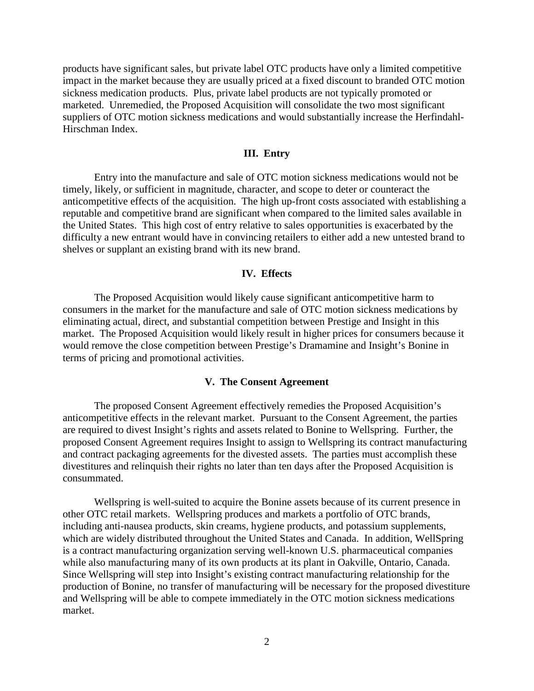products have significant sales, but private label OTC products have only a limited competitive impact in the market because they are usually priced at a fixed discount to branded OTC motion sickness medication products. Plus, private label products are not typically promoted or marketed. Unremedied, the Proposed Acquisition will consolidate the two most significant suppliers of OTC motion sickness medications and would substantially increase the Herfindahl-Hirschman Index.

### **III. Entry**

Entry into the manufacture and sale of OTC motion sickness medications would not be timely, likely, or sufficient in magnitude, character, and scope to deter or counteract the anticompetitive effects of the acquisition. The high up-front costs associated with establishing a reputable and competitive brand are significant when compared to the limited sales available in the United States. This high cost of entry relative to sales opportunities is exacerbated by the difficulty a new entrant would have in convincing retailers to either add a new untested brand to shelves or supplant an existing brand with its new brand.

# **IV. Effects**

The Proposed Acquisition would likely cause significant anticompetitive harm to consumers in the market for the manufacture and sale of OTC motion sickness medications by eliminating actual, direct, and substantial competition between Prestige and Insight in this market. The Proposed Acquisition would likely result in higher prices for consumers because it would remove the close competition between Prestige's Dramamine and Insight's Bonine in terms of pricing and promotional activities.

### **V. The Consent Agreement**

The proposed Consent Agreement effectively remedies the Proposed Acquisition's anticompetitive effects in the relevant market. Pursuant to the Consent Agreement, the parties are required to divest Insight's rights and assets related to Bonine to Wellspring. Further, the proposed Consent Agreement requires Insight to assign to Wellspring its contract manufacturing and contract packaging agreements for the divested assets. The parties must accomplish these divestitures and relinquish their rights no later than ten days after the Proposed Acquisition is consummated.

Wellspring is well-suited to acquire the Bonine assets because of its current presence in other OTC retail markets. Wellspring produces and markets a portfolio of OTC brands, including anti-nausea products, skin creams, hygiene products, and potassium supplements, which are widely distributed throughout the United States and Canada. In addition, WellSpring is a contract manufacturing organization serving well-known U.S. pharmaceutical companies while also manufacturing many of its own products at its plant in Oakville, Ontario, Canada. Since Wellspring will step into Insight's existing contract manufacturing relationship for the production of Bonine, no transfer of manufacturing will be necessary for the proposed divestiture and Wellspring will be able to compete immediately in the OTC motion sickness medications market.